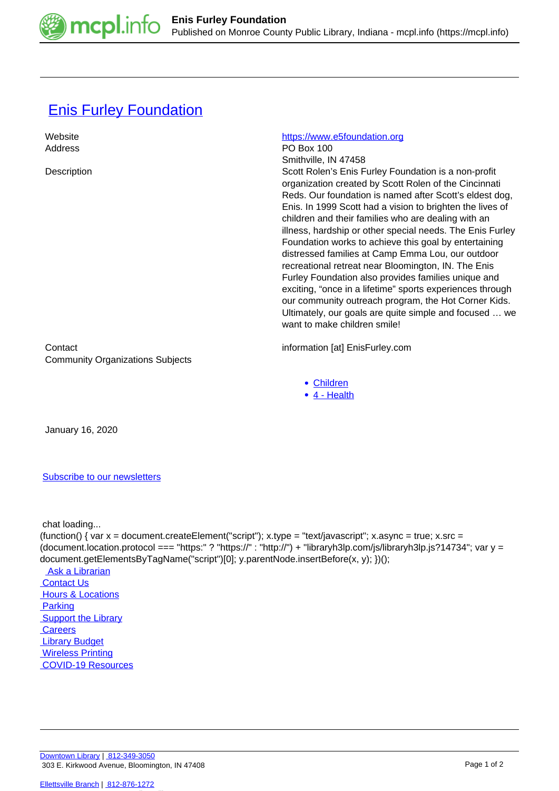

## **[Enis Furley Foundation](https://mcpl.info/commorg/enis-furley-foundation)**

| Website<br>Address                                 | https://www.e5foundation.org<br>PO Box 100<br>Smithville, IN 47458                                                                                                                                                                                                                                                                                                                                                                                                                                                                                                                                                                                                                                                                                                                                   |
|----------------------------------------------------|------------------------------------------------------------------------------------------------------------------------------------------------------------------------------------------------------------------------------------------------------------------------------------------------------------------------------------------------------------------------------------------------------------------------------------------------------------------------------------------------------------------------------------------------------------------------------------------------------------------------------------------------------------------------------------------------------------------------------------------------------------------------------------------------------|
| Description                                        | Scott Rolen's Enis Furley Foundation is a non-profit<br>organization created by Scott Rolen of the Cincinnati<br>Reds. Our foundation is named after Scott's eldest dog,<br>Enis. In 1999 Scott had a vision to brighten the lives of<br>children and their families who are dealing with an<br>illness, hardship or other special needs. The Enis Furley<br>Foundation works to achieve this goal by entertaining<br>distressed families at Camp Emma Lou, our outdoor<br>recreational retreat near Bloomington, IN. The Enis<br>Furley Foundation also provides families unique and<br>exciting, "once in a lifetime" sports experiences through<br>our community outreach program, the Hot Corner Kids.<br>Ultimately, our goals are quite simple and focused  we<br>want to make children smile! |
| Contact<br><b>Community Organizations Subjects</b> | information [at] EnisFurley.com                                                                                                                                                                                                                                                                                                                                                                                                                                                                                                                                                                                                                                                                                                                                                                      |
|                                                    | • Children<br>4 - Health<br>$\bullet$                                                                                                                                                                                                                                                                                                                                                                                                                                                                                                                                                                                                                                                                                                                                                                |

January 16, 2020

[Subscribe to our newsletters](https://mcpl.info/geninfo/subscribe-think-library-newsletter)

chat loading...

(function() { var  $x =$  document.createElement("script");  $x.$ type = "text/javascript";  $x.$ async = true;  $x.$ src = (document.location.protocol === "https:" ? "https://" : "http://") + "libraryh3lp.com/js/libraryh3lp.js?14734"; var y = document.getElementsByTagName("script")[0]; y.parentNode.insertBefore(x, y); })(); Ask a Librarian  [Contact Us](https://mcpl.info/geninfo/contact-us) **Hours & Locations**  [Parking](https://mcpl.info/parking?utm_source=footer&utm_medium=links&utm_campaign=parking) **Support the Library Careers**  [Library Budget](https://budgetnotices.in.gov/unit_lookup.aspx?ct=53000)  [Wireless Printing](https://tbs.eprintit.com/portal/#/ppl/upload/monroecpl)  [COVID-19 Resources](https://mcpl.info/geninfo/local-covid-resources)